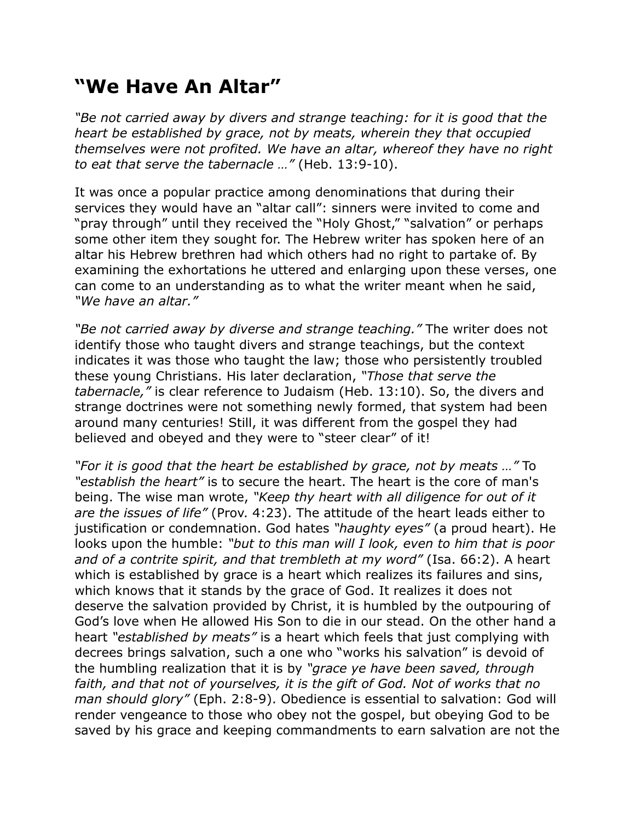## **"We Have An Altar"**

*"Be not carried away by divers and strange teaching: for it is good that the heart be established by grace, not by meats, wherein they that occupied themselves were not profited. We have an altar, whereof they have no right to eat that serve the tabernacle …"* (Heb. 13:9-10).

It was once a popular practice among denominations that during their services they would have an "altar call": sinners were invited to come and "pray through" until they received the "Holy Ghost," "salvation" or perhaps some other item they sought for. The Hebrew writer has spoken here of an altar his Hebrew brethren had which others had no right to partake of. By examining the exhortations he uttered and enlarging upon these verses, one can come to an understanding as to what the writer meant when he said, *"We have an altar."*

*"Be not carried away by diverse and strange teaching."* The writer does not identify those who taught divers and strange teachings, but the context indicates it was those who taught the law; those who persistently troubled these young Christians. His later declaration, *"Those that serve the tabernacle,"* is clear reference to Judaism (Heb. 13:10). So, the divers and strange doctrines were not something newly formed, that system had been around many centuries! Still, it was different from the gospel they had believed and obeyed and they were to "steer clear" of it!

*"For it is good that the heart be established by grace, not by meats …"* To *"establish the heart"* is to secure the heart. The heart is the core of man's being. The wise man wrote, *"Keep thy heart with all diligence for out of it are the issues of life"* (Prov. 4:23). The attitude of the heart leads either to justification or condemnation. God hates *"haughty eyes"* (a proud heart). He looks upon the humble: *"but to this man will I look, even to him that is poor and of a contrite spirit, and that trembleth at my word"* (Isa. 66:2). A heart which is established by grace is a heart which realizes its failures and sins, which knows that it stands by the grace of God. It realizes it does not deserve the salvation provided by Christ, it is humbled by the outpouring of God's love when He allowed His Son to die in our stead. On the other hand a heart *"established by meats"* is a heart which feels that just complying with decrees brings salvation, such a one who "works his salvation" is devoid of the humbling realization that it is by *"grace ye have been saved, through*  faith, and that not of yourselves, it is the gift of God. Not of works that no *man should glory"* (Eph. 2:8-9). Obedience is essential to salvation: God will render vengeance to those who obey not the gospel, but obeying God to be saved by his grace and keeping commandments to earn salvation are not the